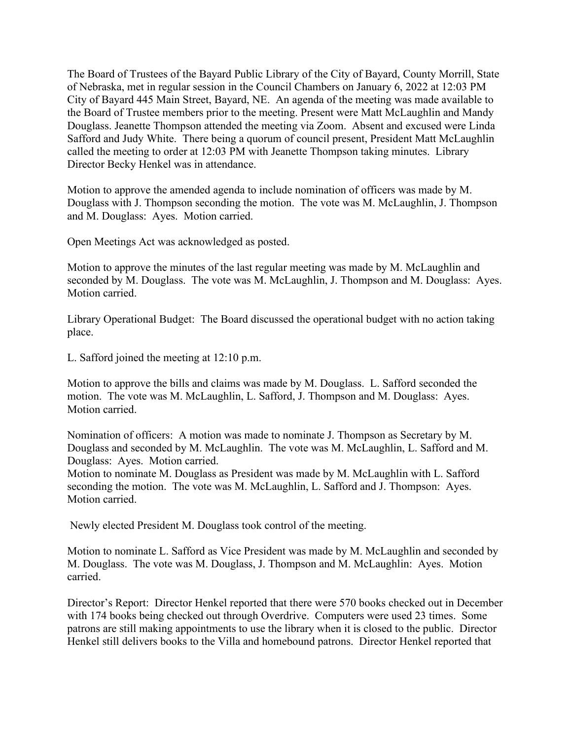The Board of Trustees of the Bayard Public Library of the City of Bayard, County Morrill, State of Nebraska, met in regular session in the Council Chambers on January 6, 2022 at 12:03 PM City of Bayard 445 Main Street, Bayard, NE. An agenda of the meeting was made available to the Board of Trustee members prior to the meeting. Present were Matt McLaughlin and Mandy Douglass. Jeanette Thompson attended the meeting via Zoom. Absent and excused were Linda Safford and Judy White. There being a quorum of council present, President Matt McLaughlin called the meeting to order at 12:03 PM with Jeanette Thompson taking minutes. Library Director Becky Henkel was in attendance.

Motion to approve the amended agenda to include nomination of officers was made by M. Douglass with J. Thompson seconding the motion. The vote was M. McLaughlin, J. Thompson and M. Douglass: Ayes. Motion carried.

Open Meetings Act was acknowledged as posted.

Motion to approve the minutes of the last regular meeting was made by M. McLaughlin and seconded by M. Douglass. The vote was M. McLaughlin, J. Thompson and M. Douglass: Ayes. Motion carried.

Library Operational Budget: The Board discussed the operational budget with no action taking place.

L. Safford joined the meeting at 12:10 p.m.

Motion to approve the bills and claims was made by M. Douglass. L. Safford seconded the motion. The vote was M. McLaughlin, L. Safford, J. Thompson and M. Douglass: Ayes. Motion carried.

Nomination of officers: A motion was made to nominate J. Thompson as Secretary by M. Douglass and seconded by M. McLaughlin. The vote was M. McLaughlin, L. Safford and M. Douglass: Ayes. Motion carried.

Motion to nominate M. Douglass as President was made by M. McLaughlin with L. Safford seconding the motion. The vote was M. McLaughlin, L. Safford and J. Thompson: Ayes. Motion carried.

Newly elected President M. Douglass took control of the meeting.

Motion to nominate L. Safford as Vice President was made by M. McLaughlin and seconded by M. Douglass. The vote was M. Douglass, J. Thompson and M. McLaughlin: Ayes. Motion carried.

Director's Report: Director Henkel reported that there were 570 books checked out in December with 174 books being checked out through Overdrive. Computers were used 23 times. Some patrons are still making appointments to use the library when it is closed to the public. Director Henkel still delivers books to the Villa and homebound patrons. Director Henkel reported that